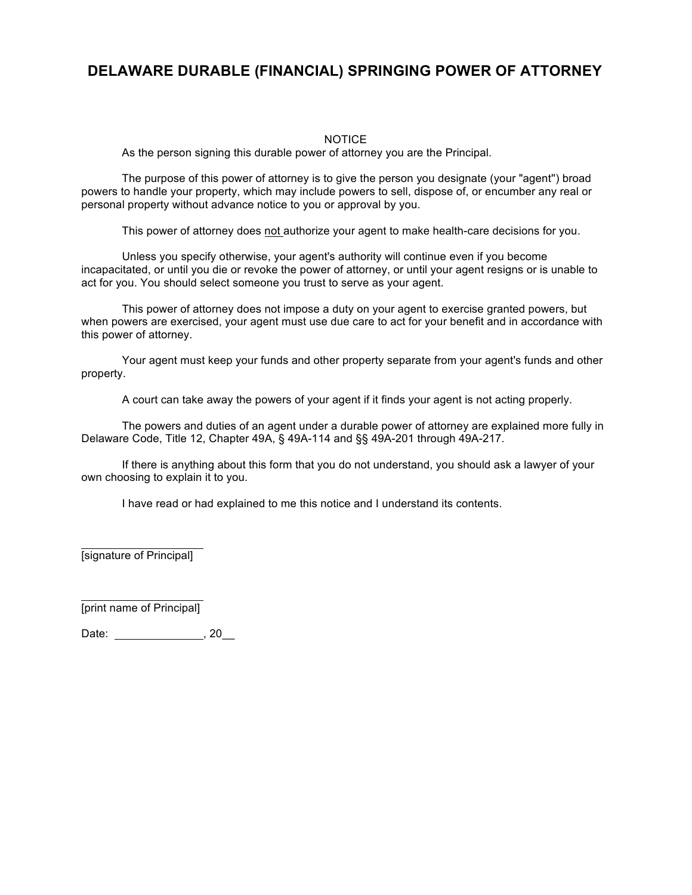# **DELAWARE DURABLE (FINANCIAL) SPRINGING POWER OF ATTORNEY**

#### **NOTICE**

As the person signing this durable power of attorney you are the Principal.

The purpose of this power of attorney is to give the person you designate (your "agent'') broad powers to handle your property, which may include powers to sell, dispose of, or encumber any real or personal property without advance notice to you or approval by you.

This power of attorney does not authorize your agent to make health-care decisions for you.

Unless you specify otherwise, your agent's authority will continue even if you become incapacitated, or until you die or revoke the power of attorney, or until your agent resigns or is unable to act for you. You should select someone you trust to serve as your agent.

This power of attorney does not impose a duty on your agent to exercise granted powers, but when powers are exercised, your agent must use due care to act for your benefit and in accordance with this power of attorney.

Your agent must keep your funds and other property separate from your agent's funds and other property.

A court can take away the powers of your agent if it finds your agent is not acting properly.

The powers and duties of an agent under a durable power of attorney are explained more fully in Delaware Code, Title 12, Chapter 49A, § 49A-114 and §§ 49A-201 through 49A-217.

If there is anything about this form that you do not understand, you should ask a lawyer of your own choosing to explain it to you.

I have read or had explained to me this notice and I understand its contents.

[signature of Principal]

[print name of Principal]

Date: \_\_\_\_\_\_\_\_\_\_\_\_\_\_\_\_\_\_\_\_\_\_\_, 20\_\_\_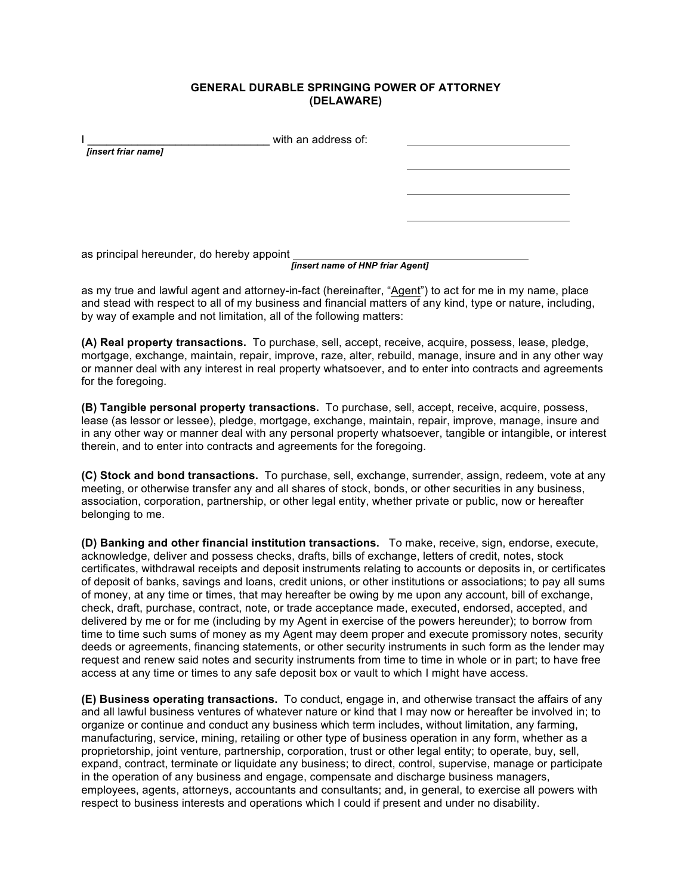#### **GENERAL DURABLE SPRINGING POWER OF ATTORNEY (DELAWARE)**

|                                           | with an address of: |  |
|-------------------------------------------|---------------------|--|
| [insert friar name]                       |                     |  |
|                                           |                     |  |
|                                           |                     |  |
|                                           |                     |  |
| as principal hereunder, do hereby appoint | $-$                 |  |

*[insert name of HNP friar Agent]* 

as my true and lawful agent and attorney-in-fact (hereinafter, "Agent") to act for me in my name, place and stead with respect to all of my business and financial matters of any kind, type or nature, including, by way of example and not limitation, all of the following matters:

**(A) Real property transactions.** To purchase, sell, accept, receive, acquire, possess, lease, pledge, mortgage, exchange, maintain, repair, improve, raze, alter, rebuild, manage, insure and in any other way or manner deal with any interest in real property whatsoever, and to enter into contracts and agreements for the foregoing.

**(B) Tangible personal property transactions.** To purchase, sell, accept, receive, acquire, possess, lease (as lessor or lessee), pledge, mortgage, exchange, maintain, repair, improve, manage, insure and in any other way or manner deal with any personal property whatsoever, tangible or intangible, or interest therein, and to enter into contracts and agreements for the foregoing.

**(C) Stock and bond transactions.** To purchase, sell, exchange, surrender, assign, redeem, vote at any meeting, or otherwise transfer any and all shares of stock, bonds, or other securities in any business, association, corporation, partnership, or other legal entity, whether private or public, now or hereafter belonging to me.

**(D) Banking and other financial institution transactions.** To make, receive, sign, endorse, execute, acknowledge, deliver and possess checks, drafts, bills of exchange, letters of credit, notes, stock certificates, withdrawal receipts and deposit instruments relating to accounts or deposits in, or certificates of deposit of banks, savings and loans, credit unions, or other institutions or associations; to pay all sums of money, at any time or times, that may hereafter be owing by me upon any account, bill of exchange, check, draft, purchase, contract, note, or trade acceptance made, executed, endorsed, accepted, and delivered by me or for me (including by my Agent in exercise of the powers hereunder); to borrow from time to time such sums of money as my Agent may deem proper and execute promissory notes, security deeds or agreements, financing statements, or other security instruments in such form as the lender may request and renew said notes and security instruments from time to time in whole or in part; to have free access at any time or times to any safe deposit box or vault to which I might have access.

**(E) Business operating transactions.** To conduct, engage in, and otherwise transact the affairs of any and all lawful business ventures of whatever nature or kind that I may now or hereafter be involved in; to organize or continue and conduct any business which term includes, without limitation, any farming, manufacturing, service, mining, retailing or other type of business operation in any form, whether as a proprietorship, joint venture, partnership, corporation, trust or other legal entity; to operate, buy, sell, expand, contract, terminate or liquidate any business; to direct, control, supervise, manage or participate in the operation of any business and engage, compensate and discharge business managers, employees, agents, attorneys, accountants and consultants; and, in general, to exercise all powers with respect to business interests and operations which I could if present and under no disability.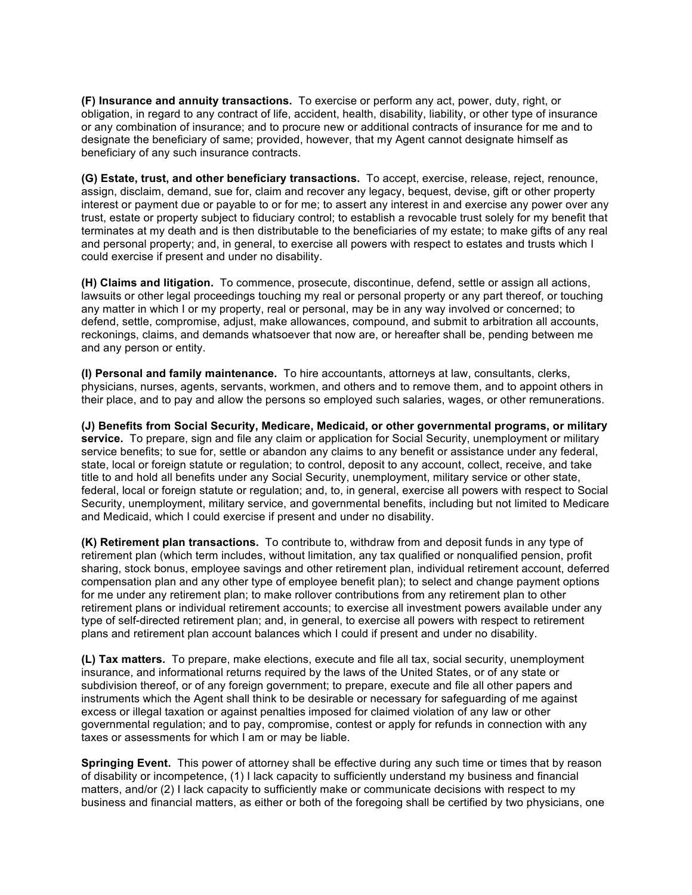**(F) Insurance and annuity transactions.** To exercise or perform any act, power, duty, right, or obligation, in regard to any contract of life, accident, health, disability, liability, or other type of insurance or any combination of insurance; and to procure new or additional contracts of insurance for me and to designate the beneficiary of same; provided, however, that my Agent cannot designate himself as beneficiary of any such insurance contracts.

**(G) Estate, trust, and other beneficiary transactions.** To accept, exercise, release, reject, renounce, assign, disclaim, demand, sue for, claim and recover any legacy, bequest, devise, gift or other property interest or payment due or payable to or for me; to assert any interest in and exercise any power over any trust, estate or property subject to fiduciary control; to establish a revocable trust solely for my benefit that terminates at my death and is then distributable to the beneficiaries of my estate; to make gifts of any real and personal property; and, in general, to exercise all powers with respect to estates and trusts which I could exercise if present and under no disability.

**(H) Claims and litigation.** To commence, prosecute, discontinue, defend, settle or assign all actions, lawsuits or other legal proceedings touching my real or personal property or any part thereof, or touching any matter in which I or my property, real or personal, may be in any way involved or concerned; to defend, settle, compromise, adjust, make allowances, compound, and submit to arbitration all accounts, reckonings, claims, and demands whatsoever that now are, or hereafter shall be, pending between me and any person or entity.

**(I) Personal and family maintenance.** To hire accountants, attorneys at law, consultants, clerks, physicians, nurses, agents, servants, workmen, and others and to remove them, and to appoint others in their place, and to pay and allow the persons so employed such salaries, wages, or other remunerations.

**(J) Benefits from Social Security, Medicare, Medicaid, or other governmental programs, or military service.** To prepare, sign and file any claim or application for Social Security, unemployment or military service benefits; to sue for, settle or abandon any claims to any benefit or assistance under any federal, state, local or foreign statute or regulation; to control, deposit to any account, collect, receive, and take title to and hold all benefits under any Social Security, unemployment, military service or other state, federal, local or foreign statute or regulation; and, to, in general, exercise all powers with respect to Social Security, unemployment, military service, and governmental benefits, including but not limited to Medicare and Medicaid, which I could exercise if present and under no disability.

**(K) Retirement plan transactions.** To contribute to, withdraw from and deposit funds in any type of retirement plan (which term includes, without limitation, any tax qualified or nonqualified pension, profit sharing, stock bonus, employee savings and other retirement plan, individual retirement account, deferred compensation plan and any other type of employee benefit plan); to select and change payment options for me under any retirement plan; to make rollover contributions from any retirement plan to other retirement plans or individual retirement accounts; to exercise all investment powers available under any type of self-directed retirement plan; and, in general, to exercise all powers with respect to retirement plans and retirement plan account balances which I could if present and under no disability.

**(L) Tax matters.** To prepare, make elections, execute and file all tax, social security, unemployment insurance, and informational returns required by the laws of the United States, or of any state or subdivision thereof, or of any foreign government; to prepare, execute and file all other papers and instruments which the Agent shall think to be desirable or necessary for safeguarding of me against excess or illegal taxation or against penalties imposed for claimed violation of any law or other governmental regulation; and to pay, compromise, contest or apply for refunds in connection with any taxes or assessments for which I am or may be liable.

**Springing Event.** This power of attorney shall be effective during any such time or times that by reason of disability or incompetence, (1) I lack capacity to sufficiently understand my business and financial matters, and/or (2) I lack capacity to sufficiently make or communicate decisions with respect to my business and financial matters, as either or both of the foregoing shall be certified by two physicians, one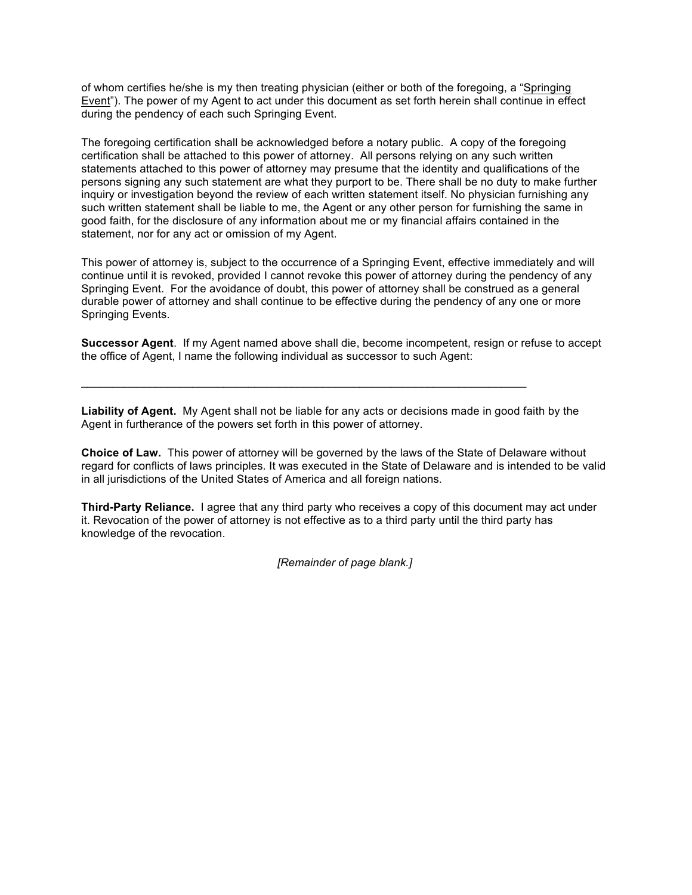of whom certifies he/she is my then treating physician (either or both of the foregoing, a "Springing Event"). The power of my Agent to act under this document as set forth herein shall continue in effect during the pendency of each such Springing Event.

The foregoing certification shall be acknowledged before a notary public. A copy of the foregoing certification shall be attached to this power of attorney. All persons relying on any such written statements attached to this power of attorney may presume that the identity and qualifications of the persons signing any such statement are what they purport to be. There shall be no duty to make further inquiry or investigation beyond the review of each written statement itself. No physician furnishing any such written statement shall be liable to me, the Agent or any other person for furnishing the same in good faith, for the disclosure of any information about me or my financial affairs contained in the statement, nor for any act or omission of my Agent.

This power of attorney is, subject to the occurrence of a Springing Event, effective immediately and will continue until it is revoked, provided I cannot revoke this power of attorney during the pendency of any Springing Event. For the avoidance of doubt, this power of attorney shall be construed as a general durable power of attorney and shall continue to be effective during the pendency of any one or more Springing Events.

**Successor Agent**. If my Agent named above shall die, become incompetent, resign or refuse to accept the office of Agent, I name the following individual as successor to such Agent:

**Liability of Agent.** My Agent shall not be liable for any acts or decisions made in good faith by the Agent in furtherance of the powers set forth in this power of attorney.

\_\_\_\_\_\_\_\_\_\_\_\_\_\_\_\_\_\_\_\_\_\_\_\_\_\_\_\_\_\_\_\_\_\_\_\_\_\_\_\_\_\_\_\_\_\_\_\_\_\_\_\_\_\_\_\_\_\_\_\_\_\_\_\_\_\_\_\_\_\_\_\_

**Choice of Law.** This power of attorney will be governed by the laws of the State of Delaware without regard for conflicts of laws principles. It was executed in the State of Delaware and is intended to be valid in all jurisdictions of the United States of America and all foreign nations.

**Third-Party Reliance.** I agree that any third party who receives a copy of this document may act under it. Revocation of the power of attorney is not effective as to a third party until the third party has knowledge of the revocation.

*[Remainder of page blank.]*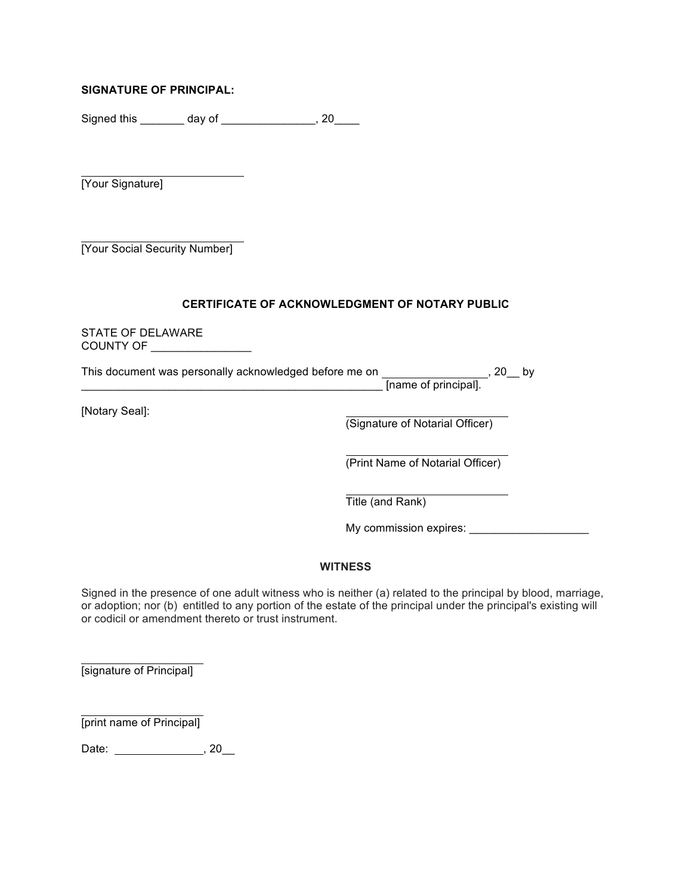## **SIGNATURE OF PRINCIPAL:**

Signed this \_\_\_\_\_\_\_\_ day of \_\_\_\_\_\_\_\_\_\_\_\_\_\_\_, 20\_\_\_\_

[Your Signature]

[Your Social Security Number]

#### **CERTIFICATE OF ACKNOWLEDGMENT OF NOTARY PUBLIC**

STATE OF DELAWARE COUNTY OF \_\_\_\_\_\_\_\_\_\_\_\_\_\_\_\_

| This document was personally acknowledged before me on<br>$20$ _ by<br>[name of principal]. |                                  |
|---------------------------------------------------------------------------------------------|----------------------------------|
| [Notary Seal]:                                                                              | (Signature of Notarial Officer)  |
|                                                                                             | (Print Name of Notarial Officer) |
|                                                                                             | Title (and Rank)                 |
|                                                                                             | My commission expires:           |

## **WITNESS**

Signed in the presence of one adult witness who is neither (a) related to the principal by blood, marriage, or adoption; nor (b) entitled to any portion of the estate of the principal under the principal's existing will or codicil or amendment thereto or trust instrument.

[signature of Principal]

[print name of Principal]

Date: , 20\_\_